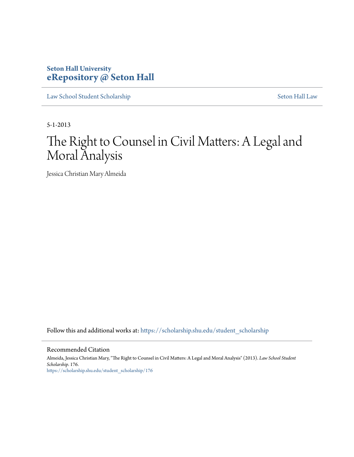# **Seton Hall University [eRepository @ Seton Hall](https://scholarship.shu.edu?utm_source=scholarship.shu.edu%2Fstudent_scholarship%2F176&utm_medium=PDF&utm_campaign=PDFCoverPages)**

[Law School Student Scholarship](https://scholarship.shu.edu/student_scholarship?utm_source=scholarship.shu.edu%2Fstudent_scholarship%2F176&utm_medium=PDF&utm_campaign=PDFCoverPages) [Seton Hall Law](https://scholarship.shu.edu/law?utm_source=scholarship.shu.edu%2Fstudent_scholarship%2F176&utm_medium=PDF&utm_campaign=PDFCoverPages)

5-1-2013

# The Right to Counsel in Civil Matters: A Legal and Moral Analysis

Jessica Christian Mary Almeida

Follow this and additional works at: [https://scholarship.shu.edu/student\\_scholarship](https://scholarship.shu.edu/student_scholarship?utm_source=scholarship.shu.edu%2Fstudent_scholarship%2F176&utm_medium=PDF&utm_campaign=PDFCoverPages)

#### Recommended Citation

Almeida, Jessica Christian Mary, "The Right to Counsel in Civil Matters: A Legal and Moral Analysis" (2013). *Law School Student Scholarship*. 176. [https://scholarship.shu.edu/student\\_scholarship/176](https://scholarship.shu.edu/student_scholarship/176?utm_source=scholarship.shu.edu%2Fstudent_scholarship%2F176&utm_medium=PDF&utm_campaign=PDFCoverPages)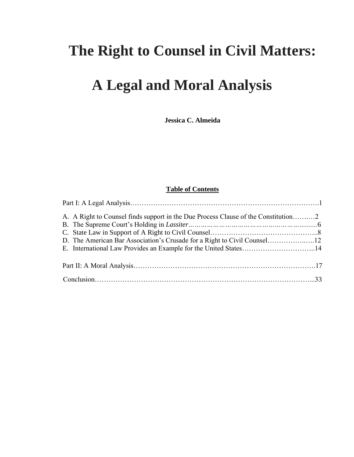# **The Right to Counsel in Civil Matters:**

# **A Legal and Moral Analysis**

**Jessica C. Almeida**

# **Table of Contents**

| E. International Law Provides an Example for the United States14 |  |
|------------------------------------------------------------------|--|
|                                                                  |  |
|                                                                  |  |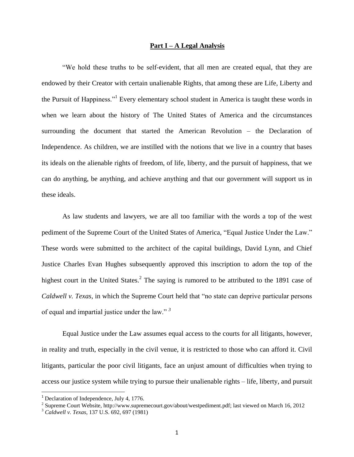### **Part I – A Legal Analysis**

"We hold these truths to be self-evident, that all men are created equal, that they are endowed by their Creator with certain unalienable Rights, that among these are Life, Liberty and the Pursuit of Happiness."<sup>1</sup> Every elementary school student in America is taught these words in when we learn about the history of The United States of America and the circumstances surrounding the document that started the American Revolution – the Declaration of Independence. As children, we are instilled with the notions that we live in a country that bases its ideals on the alienable rights of freedom, of life, liberty, and the pursuit of happiness, that we can do anything, be anything, and achieve anything and that our government will support us in these ideals.

As law students and lawyers, we are all too familiar with the words a top of the west pediment of the Supreme Court of the United States of America, "Equal Justice Under the Law." These words were submitted to the architect of the capital buildings, David Lynn, and Chief Justice Charles Evan Hughes subsequently approved this inscription to adorn the top of the highest court in the United States.<sup>2</sup> The saying is rumored to be attributed to the 1891 case of *Caldwell v. Texas*, in which the Supreme Court held that "no state can deprive particular persons of equal and impartial justice under the law." *<sup>3</sup>*

Equal Justice under the Law assumes equal access to the courts for all litigants, however, in reality and truth, especially in the civil venue, it is restricted to those who can afford it. Civil litigants, particular the poor civil litigants, face an unjust amount of difficulties when trying to access our justice system while trying to pursue their unalienable rights – life, liberty, and pursuit

<sup>&</sup>lt;sup>1</sup> Declaration of Independence, July 4, 1776.

<sup>&</sup>lt;sup>2</sup> Supreme Court Website, http://www.supremecourt.gov/about/westpediment.pdf; last viewed on March 16, 2012

<sup>3</sup> *Caldwell v. Texas*, 137 U.S. 692, 697 (1981)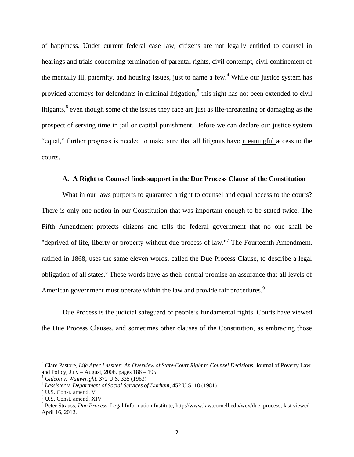of happiness. Under current federal case law, citizens are not legally entitled to counsel in hearings and trials concerning termination of parental rights, civil contempt, civil confinement of the mentally ill, paternity, and housing issues, just to name a few.<sup>4</sup> While our justice system has provided attorneys for defendants in criminal litigation,<sup>5</sup> this right has not been extended to civil litigants, <sup>6</sup> even though some of the issues they face are just as life-threatening or damaging as the prospect of serving time in jail or capital punishment. Before we can declare our justice system "equal," further progress is needed to make sure that all litigants have meaningful access to the courts.

# **A. A Right to Counsel finds support in the Due Process Clause of the Constitution**

What in our laws purports to guarantee a right to counsel and equal access to the courts? There is only one notion in our Constitution that was important enough to be stated twice. The [Fifth Amendment](http://www.law.cornell.edu/constitution/constitution.billofrights.html#amendment) protects citizens and tells the federal government that no one shall be "deprived of life, liberty or property without due process of law."<sup>7</sup> The [Fourteenth Amendment](http://www.law.cornell.edu/constitution/constitution.amendmentxiv.html), ratified in 1868, uses the same eleven words, called the Due Process Clause, to describe a legal obligation of all states.<sup>8</sup> These words have as their central promise an assurance that all levels of American government must operate within the law and provide fair procedures.<sup>9</sup>

Due Process is the judicial safeguard of people's fundamental rights. Courts have viewed the Due Process Clauses, and sometimes other clauses of the Constitution, as embracing those

l

<sup>4</sup> Clare Pastore, *Life After Lassiter: An Overview of State-Court Right to Counsel Decisions*, Journal of Poverty Law and Policy, July – August, 2006, pages  $186 - 195$ .

<sup>5</sup> *Gideon v. Wainwright,* 372 U.S. 335 (1963)

<sup>6</sup> *Lassister v. Department of Social Services of Durham*, 452 U.S. 18 (1981)

<sup>7</sup> U.S. Const. amend. V

<sup>8</sup> U.S. Const. amend. XIV

<sup>9</sup> Peter Strauss, *Due Process*, Legal Information Institute, http://www.law.cornell.edu/wex/due\_process; last viewed April 16, 2012.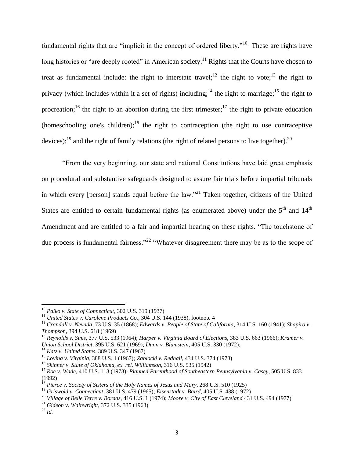fundamental rights that are "implicit in the concept of ordered liberty."<sup>10</sup> These are rights have long histories or "are deeply rooted" in American society.<sup>11</sup> Rights that the Courts have chosen to treat as fundamental include: the right to interstate travel;<sup>12</sup> the right to vote;<sup>13</sup> the right to privacy (which includes within it a set of rights) including;<sup>14</sup> the right to marriage;<sup>15</sup> the right to procreation;<sup>16</sup> the right to an abortion during the first trimester;<sup>17</sup> the right to private education (homeschooling one's children);<sup>18</sup> the right to contraception (the right to use contraceptive devices);<sup>19</sup> and the right of family relations (the right of related persons to live together).<sup>20</sup>

"From the very beginning, our state and national Constitutions have laid great emphasis on procedural and substantive safeguards designed to assure fair trials before impartial tribunals in which every [person] stands equal before the law."<sup>21</sup> Taken together, citizens of the United States are entitled to certain fundamental rights (as enumerated above) under the  $5<sup>th</sup>$  and  $14<sup>th</sup>$ Amendment and are entitled to a fair and impartial hearing on these rights. "The touchstone of due process is fundamental fairness."<sup>22</sup> "Whatever disagreement there may be as to the scope of

<sup>10</sup> *Palko v. State of Connecticut*, 302 U.S. 319 (1937)

<sup>&</sup>lt;sup>11</sup> *United States v. Carolene Products Co.*, 304 U.S. 144 (1938), footnote 4

<sup>12</sup> *Crandall v. Nevada*, 73 U.S. 35 (1868); *Edwards v. People of State of California*, 31[4 U.S.](http://en.wikipedia.org/wiki/United_States_Reports) [160](http://supreme.justia.com/us/314/160/case.html) (1941); *Shapiro v. Thompson*[, 394 U.S. 618](http://en.wikipedia.org/wiki/Case_citation) (1969)

<sup>13</sup> *Reynolds v. Sims*[, 377 U.S. 533](http://en.wikipedia.org/wiki/Case_citation) (1964); *Harper v. Virginia Board of Elections*, 383 [U.S.](http://en.wikipedia.org/wiki/United_States_Reports) [663](http://supreme.justia.com/us/383/663/case.html) (1966); *Kramer v.* 

*Union School District*, [395 U.S. 621](http://en.wikipedia.org/wiki/Case_citation) (1969); *[Dunn v. Blumstein](http://en.wikipedia.org/w/index.php?title=Dunn_v._Blumstein&action=edit&redlink=1)*, 40[5 U.S.](http://en.wikipedia.org/wiki/United_States_Reports) [330](http://supreme.justia.com/us/405/330/case.html) (1972);

<sup>14</sup> *Katz v. United States*, 389 [U.S.](http://en.wikipedia.org/wiki/United_States_Reports) [347](https://supreme.justia.com/us/389/347/case.html) (1967)

<sup>15</sup> *Loving v. Virginia*, 38[8 U.S.](http://en.wikipedia.org/wiki/United_States_Reports) [1](https://supreme.justia.com/us/388/1/case.html) (1967)*; Zablocki v. Redhail*, [434 U.S. 374](http://en.wikipedia.org/wiki/Case_citation) (1978)

<sup>16</sup> *Skinner v. State of Oklahoma, [ex. rel.](http://en.wikipedia.org/wiki/Ex_rel) Williamson*[, 316 U.S. 535](http://en.wikipedia.org/wiki/Case_citation) (1942)

<sup>17</sup> *Roe v. Wade*, 410 [U.S.](http://en.wikipedia.org/wiki/United_States_Reports) [113](https://supreme.justia.com/us/410/113/case.html) (1973); *Planned Parenthood of Southeastern Pennsylvania v. Casey*, [505 U.S. 833](http://en.wikipedia.org/wiki/Case_citation) (1992)

<sup>18</sup> *Pierce v. Society of Sisters of the Holy Names of Jesus and Mary*, 26[8 U.S.](http://en.wikipedia.org/wiki/United_States_Reports) [510](https://supreme.justia.com/us/268/510/case.html) (1925)

<sup>19</sup> *Griswold v. Connecticut*, 381 [U.S.](http://en.wikipedia.org/wiki/United_States_Reports) [479](https://supreme.justia.com/us/381/479/case.html) (1965); *Eisenstadt v. Baird*, 40[5 U.S.](http://en.wikipedia.org/wiki/United_States_Reports) [438](http://supreme.justia.com/us/405/438/case.html) (1972)

<sup>20</sup> *[Village of Belle Terre](http://en.wikipedia.org/wiki/Belle_Terre,_New_York) v. Boraas*, 416 [U.S.](http://en.wikipedia.org/wiki/United_States_Reports) [1](http://supreme.justia.com/us/416/1/case.html) (1974); *Moore v. City of East Cleveland* [431 U.S. 494](http://en.wikipedia.org/wiki/Case_citation) (1977)

<sup>21</sup> *Gideon v. Wainwright,* 372 U.S. 335 (1963)

<sup>22</sup> *Id.*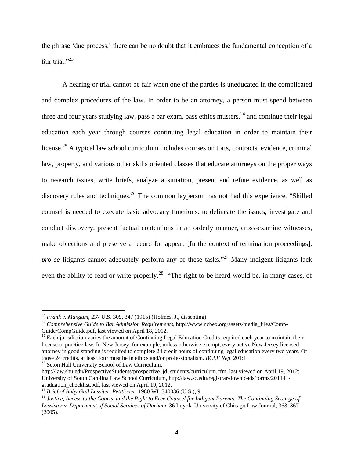the phrase 'due process,' there can be no doubt that it embraces the fundamental conception of a fair trial."23

A hearing or trial cannot be fair when one of the parties is uneducated in the complicated and complex procedures of the law. In order to be an attorney, a person must spend between three and four years studying law, pass a bar exam, pass ethics musters,  $24$  and continue their legal education each year through courses continuing legal education in order to maintain their license.<sup>25</sup> A typical law school curriculum includes courses on torts, contracts, evidence, criminal law, property, and various other skills oriented classes that educate attorneys on the proper ways to research issues, write briefs, analyze a situation, present and refute evidence, as well as discovery rules and techniques.<sup>26</sup> The common layperson has not had this experience. "Skilled" counsel is needed to execute basic advocacy functions: to delineate the issues, investigate and conduct discovery, present factual contentions in an orderly manner, cross-examine witnesses, make objections and preserve a record for appeal. [In the context of termination proceedings], *pro se* litigants cannot adequately perform any of these tasks." <sup>27</sup> Many indigent litigants lack even the ability to read or write properly.<sup>28</sup> "The right to be heard would be, in many cases, of

<sup>26</sup> Seton Hall University School of Law Curriculum,

l

<sup>23</sup> *Frank v. Mangum*, 237 U.S. 309, 347 (1915) (Holmes, J., dissenting)

<sup>24</sup> *Comprehensive Guide to Bar Admission Requirements*, http://www.ncbex.org/assets/media\_files/Comp-Guide/CompGuide.pdf, last viewed on April 18, 2012.

<sup>&</sup>lt;sup>25</sup> Each jurisdiction varies the amount of Continuing Legal Education Credits required each year to maintain their license to practice law. In New Jersey, for example, unless otherwise exempt, every active New Jersey licensed attorney in good standing is required to complete 24 credit hours of continuing legal education every two years. Of those 24 credits, at least four must be in ethics and/or professionalism. *BCLE Reg*. 201:1

http://law.shu.edu/ProspectiveStudents/prospective\_id\_students/curriculum.cfm, last viewed on April 19, 2012; University of South Carolina Law School Curriculum, http://law.sc.edu/registrar/downloads/forms/201141 graduation\_checklist.pdf, last viewed on April 19, 2012.

<sup>27</sup> *Brief of Abby Gail Lassiter, Petitioner*, 1980 WL 340036 (U.S.), 9

<sup>28</sup> *Justice, Access to the Courts, and the Right to Free Counsel for Indigent Parents: The Continuing Scourge of Lassister v. Department of Social Services of Durham*, 36 Loyola University of Chicago Law Journal, 363, 367 (2005).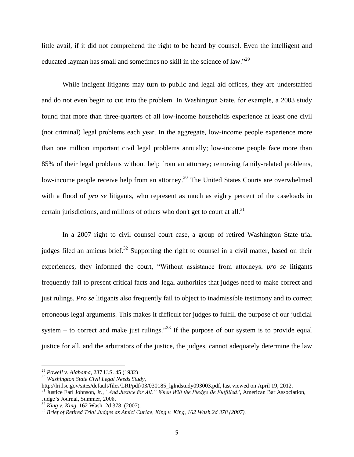little avail, if it did not comprehend the right to be heard by counsel. Even the intelligent and educated layman has small and sometimes no skill in the science of law."<sup>29</sup>

While indigent litigants may turn to public and legal aid offices, they are understaffed and do not even begin to cut into the problem. In Washington State, for example, a 2003 study found that more than three-quarters of all low-income households experience at least one civil (not criminal) legal problems each year. In the aggregate, low-income people experience more than one million important civil legal problems annually; low-income people face more than 85% of their legal problems without help from an attorney; removing family-related problems, low-income people receive help from an attorney.<sup>30</sup> The United States Courts are overwhelmed with a flood of *pro se* litigants, who represent as much as eighty percent of the caseloads in certain jurisdictions, and millions of others who don't get to court at all.<sup>31</sup>

In a 2007 right to civil counsel court case, a group of retired Washington State trial judges filed an amicus brief. $32$  Supporting the right to counsel in a civil matter, based on their experiences, they informed the court, "Without assistance from attorneys, *pro se* litigants frequently fail to present critical facts and legal authorities that judges need to make correct and just rulings. *Pro se* litigants also frequently fail to object to inadmissible testimony and to correct erroneous legal arguments. This makes it difficult for judges to fulfill the purpose of our judicial system  $-$  to correct and make just rulings.<sup>33</sup> If the purpose of our system is to provide equal justice for all, and the arbitrators of the justice, the judges, cannot adequately determine the law

 $\overline{\phantom{a}}$ 

http://lri.lsc.gov/sites/default/files/LRI/pdf/03/030185\_lglndstudy093003.pdf, last viewed on April 19, 2012. <sup>31</sup> Justice Earl Johnson, Jr., *"And Justice for All." When Will the Pledge Be Fulfilled?*, American Bar Association, Judge's Journal, Summer, 2008.

<sup>29</sup> *Powell v. Alabama*, 287 U.S. 45 (1932)

<sup>30</sup> *Washington State Civil Legal Needs Study*,

<sup>32</sup> *King v. King*, 162 Wash. 2d 378. (2007).

<sup>33</sup> *Brief of Retired Trial Judges as Amici Curiae, King v. King, 162 Wash.2d 378 (2007).*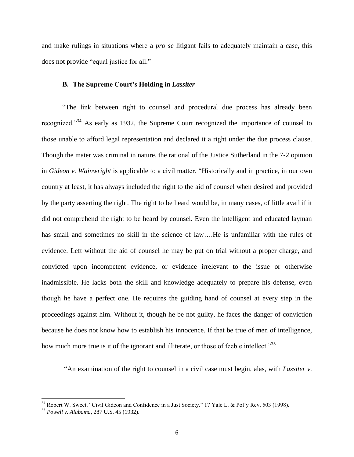and make rulings in situations where a *pro se* litigant fails to adequately maintain a case, this does not provide "equal justice for all."

### **B. The Supreme Court's Holding in** *Lassiter*

"The link between right to counsel and procedural due process has already been recognized."<sup>34</sup> As early as 1932, the Supreme Court recognized the importance of counsel to those unable to afford legal representation and declared it a right under the due process clause. Though the mater was criminal in nature, the rational of the Justice Sutherland in the 7-2 opinion in *Gideon v. Wainwright* is applicable to a civil matter. "Historically and in practice, in our own country at least, it has always included the right to the aid of counsel when desired and provided by the party asserting the right. The right to be heard would be, in many cases, of little avail if it did not comprehend the right to be heard by counsel. Even the intelligent and educated layman has small and sometimes no skill in the science of law….He is unfamiliar with the rules of evidence. Left without the aid of counsel he may be put on trial without a proper charge, and convicted upon incompetent evidence, or evidence irrelevant to the issue or otherwise inadmissible. He lacks both the skill and knowledge adequately to prepare his defense, even though he have a perfect one. He requires the guiding hand of counsel at every step in the proceedings against him. Without it, though he be not guilty, he faces the danger of conviction because he does not know how to establish his innocence. If that be true of men of intelligence, how much more true is it of the ignorant and illiterate, or those of feeble intellect."<sup>35</sup>

"An examination of the right to counsel in a civil case must begin, alas, with *Lassiter v.* 

 $34$  Robert W. Sweet, "Civil Gideon and Confidence in a Just Society." 17 Yale L. & Pol'y Rev. 503 (1998).

<sup>35</sup> *Powell v. Alabama*, 287 U.S. 45 (1932).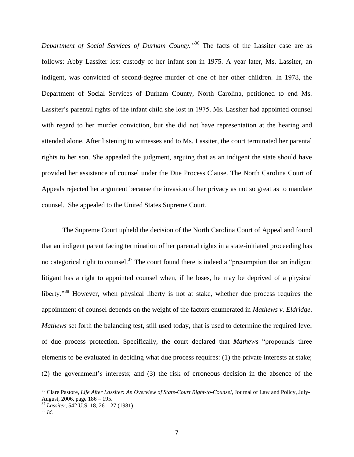*Department of Social Services of Durham County."* <sup>36</sup> The facts of the Lassiter case are as follows: Abby Lassiter lost custody of her infant son in 1975. A year later, Ms. Lassiter, an indigent, was convicted of second-degree murder of one of her other children. In 1978, the Department of Social Services of Durham County, North Carolina, petitioned to end Ms. Lassiter's parental rights of the infant child she lost in 1975. Ms. Lassiter had appointed counsel with regard to her murder conviction, but she did not have representation at the hearing and attended alone. After listening to witnesses and to Ms. Lassiter, the court terminated her parental rights to her son. She appealed the judgment, arguing that as an indigent the state should have provided her assistance of counsel under the Due Process Clause. The North Carolina Court of Appeals rejected her argument because the invasion of her privacy as not so great as to mandate counsel. She appealed to the United States Supreme Court.

The Supreme Court upheld the decision of the North Carolina Court of Appeal and found that an indigent parent facing termination of her parental rights in a state-initiated proceeding has no categorical right to counsel.<sup>37</sup> The court found there is indeed a "presumption that an indigent" litigant has a right to appointed counsel when, if he loses, he may be deprived of a physical liberty.<sup>38</sup> However, when physical liberty is not at stake, whether due process requires the appointment of counsel depends on the weight of the factors enumerated in *Mathews v. Eldridge*. *Mathews* set forth the balancing test, still used today, that is used to determine the required level of due process protection. Specifically, the court declared that *Mathews* "propounds three elements to be evaluated in deciding what due process requires: (1) the private interests at stake; (2) the government's interests; and (3) the risk of erroneous decision in the absence of the

<sup>36</sup> Clare Pastore, *Life After Lassiter: An Overview of State-Court Right-to-Counsel,* Journal of Law and Policy, July-August, 2006, page 186 – 195.

<sup>37</sup> *Lassiter,* 542 U.S. 18, 26 – 27 (1981)

<sup>38</sup> *Id.*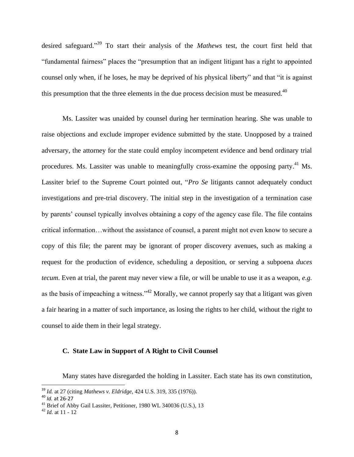desired safeguard." <sup>39</sup> To start their analysis of the *Mathews* test, the court first held that "fundamental fairness" places the "presumption that an indigent litigant has a right to appointed counsel only when, if he loses, he may be deprived of his physical liberty" and that "it is against this presumption that the three elements in the due process decision must be measured. $40$ 

Ms. Lassiter was unaided by counsel during her termination hearing. She was unable to raise objections and exclude improper evidence submitted by the state. Unopposed by a trained adversary, the attorney for the state could employ incompetent evidence and bend ordinary trial procedures. Ms. Lassiter was unable to meaningfully cross-examine the opposing party.<sup>41</sup> Ms. Lassiter brief to the Supreme Court pointed out, "*Pro Se* litigants cannot adequately conduct investigations and pre-trial discovery. The initial step in the investigation of a termination case by parents' counsel typically involves obtaining a copy of the agency case file. The file contains critical information…without the assistance of counsel, a parent might not even know to secure a copy of this file; the parent may be ignorant of proper discovery avenues, such as making a request for the production of evidence, scheduling a deposition, or serving a subpoena *duces tecum*. Even at trial, the parent may never view a file, or will be unable to use it as a weapon, *e.g.* as the basis of impeaching a witness."<sup>42</sup> Morally, we cannot properly say that a litigant was given a fair hearing in a matter of such importance, as losing the rights to her child, without the right to counsel to aide them in their legal strategy.

### **C. State Law in Support of A Right to Civil Counsel**

Many states have disregarded the holding in Lassiter. Each state has its own constitution,

 $\overline{a}$ 

<sup>39</sup> *Id.* at 27 (citing *Mathews v. Eldridge*, 424 U.S. 319, 335 (1976)).

<sup>40</sup> *Id.* at 26-27

<sup>41</sup> Brief of Abby Gail Lassiter, Petitioner, 1980 WL 340036 (U.S.), 13

<sup>42</sup> *Id.* at 11 - 12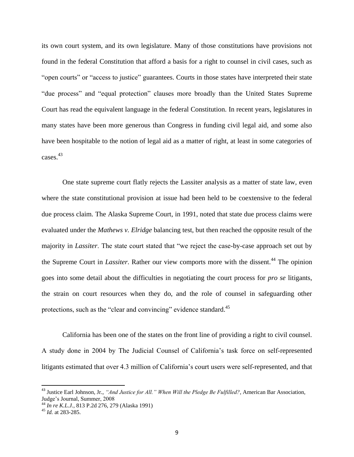its own court system, and its own legislature. Many of those constitutions have provisions not found in the federal Constitution that afford a basis for a right to counsel in civil cases, such as "open courts" or "access to justice" guarantees. Courts in those states have interpreted their state "due process" and "equal protection" clauses more broadly than the United States Supreme Court has read the equivalent language in the federal Constitution. In recent years, legislatures in many states have been more generous than Congress in funding civil legal aid, and some also have been hospitable to the notion of legal aid as a matter of right, at least in some categories of cases.<sup>43</sup>

One state supreme court flatly rejects the Lassiter analysis as a matter of state law, even where the state constitutional provision at issue had been held to be coextensive to the federal due process claim. The Alaska Supreme Court, in 1991, noted that state due process claims were evaluated under the *Mathews v. Elridge* balancing test, but then reached the opposite result of the majority in *Lassiter*. The state court stated that "we reject the case-by-case approach set out by the Supreme Court in *Lassiter*. Rather our view comports more with the dissent.<sup>44</sup> The opinion goes into some detail about the difficulties in negotiating the court process for *pro se* litigants, the strain on court resources when they do, and the role of counsel in safeguarding other protections, such as the "clear and convincing" evidence standard.<sup>45</sup>

California has been one of the states on the front line of providing a right to civil counsel. A study done in 2004 by The Judicial Counsel of California's task force on self-represented litigants estimated that over 4.3 million of California's court users were self-represented, and that

<sup>43</sup> Justice Earl Johnson, Jr., *"And Justice for All." When Will the Pledge Be Fulfilled?*, American Bar Association, Judge's Journal, Summer, 2008

*<sup>44</sup> In re K.L.J.*, 813 P.2d 276, 279 (Alaska 1991)

<sup>45</sup> *Id.* at 283-285.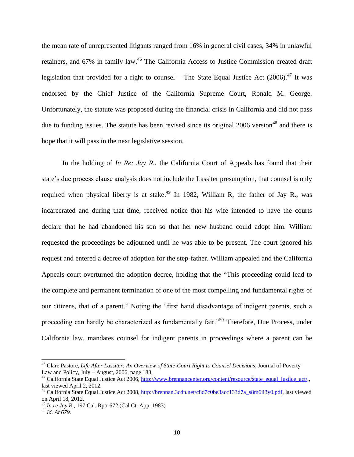the mean rate of unrepresented litigants ranged from 16% in general civil cases, 34% in unlawful retainers, and 67% in family law.<sup>46</sup> The California Access to Justice Commission created draft legislation that provided for a right to counsel – The State Equal Justice Act  $(2006).^{47}$  It was endorsed by the Chief Justice of the California Supreme Court, Ronald M. George. Unfortunately, the statute was proposed during the financial crisis in California and did not pass due to funding issues. The statute has been revised since its original 2006 version<sup>48</sup> and there is hope that it will pass in the next legislative session.

In the holding of *In Re: Jay R.*, the California Court of Appeals has found that their state's due process clause analysis does not include the Lassiter presumption, that counsel is only required when physical liberty is at stake.<sup>49</sup> In 1982, William R, the father of Jay R., was incarcerated and during that time, received notice that his wife intended to have the courts declare that he had abandoned his son so that her new husband could adopt him. William requested the proceedings be adjourned until he was able to be present. The court ignored his request and entered a decree of adoption for the step-father. William appealed and the California Appeals court overturned the adoption decree, holding that the "This proceeding could lead to the complete and permanent termination of one of the most compelling and fundamental rights of our citizens, that of a parent." Noting the "first hand disadvantage of indigent parents, such a proceeding can hardly be characterized as fundamentally fair."<sup>50</sup> Therefore, Due Process, under California law, mandates counsel for indigent parents in proceedings where a parent can be

 $\overline{a}$ 

<sup>46</sup> Clare Pastore, *Life After Lassiter: An Overview of State-Court Right to Counsel Decisions*, Journal of Poverty Law and Policy, July – August, 2006, page 188.

 $47$  California State Equal Justice Act 2006, [http://www.brennancenter.org/content/resource/state\\_equal\\_justice\\_act/.](http://www.brennancenter.org/content/resource/state_equal_justice_act/), last viewed April 2, 2012.

<sup>&</sup>lt;sup>48</sup> California State Equal Justice Act 2008, [http://brennan.3cdn.net/c8d7c0be3acc133d7a\\_s8m6ii3y0.pdf,](http://brennan.3cdn.net/c8d7c0be3acc133d7a_s8m6ii3y0.pdf) last viewed on April 18, 2012.

<sup>49</sup> *In re Jay R.*, 197 Cal. Rptr 672 (Cal Ct. App. 1983)

<sup>50</sup> *Id. At 679.*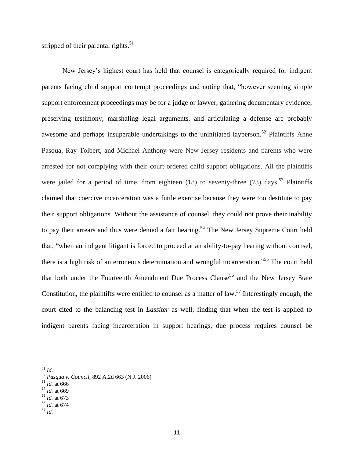stripped of their parental rights. $51$ 

New Jersey's highest court has held that counsel is categorically required for indigent parents facing child support contempt proceedings and noting that, "however seeming simple support enforcement proceedings may be for a judge or lawyer, gathering documentary evidence, preserving testimony, marshaling legal arguments, and articulating a defense are probably awesome and perhaps insuperable undertakings to the uninitiated layperson.<sup>52</sup> Plaintiffs Anne Pasqua, Ray Tolbert, and Michael Anthony were New Jersey residents and parents who were arrested for not complying with their court-ordered child support obligations. All the plaintiffs were jailed for a period of time, from eighteen  $(18)$  to seventy-three  $(73)$  days.<sup>53</sup> Plaintiffs claimed that coercive incarceration was a futile exercise because they were too destitute to pay their support obligations. Without the assistance of counsel, they could not prove their inability to pay their arrears and thus were denied a fair hearing.<sup>54</sup> The New Jersey Supreme Court held that, "when an indigent litigant is forced to proceed at an ability-to-pay hearing without counsel, there is a high risk of an erroneous determination and wrongful incarceration."<sup>55</sup> The court held that both under the Fourteenth Amendment Due Process Clause<sup>56</sup> and the New Jersey State Constitution, the plaintiffs were entitled to counsel as a matter of law.<sup>57</sup> Interestingly enough, the court cited to the balancing test in *Lassiter* as well, finding that when the test is applied to indigent parents facing incarceration in support hearings, due process requires counsel be

<sup>51</sup> *Id.*

- $^{53}$  *Id.* at 666
- <sup>54</sup> *Id.* at 669
- <sup>55</sup> *Id.* at 673
- <sup>56</sup> *Id.* at 674
- <sup>57</sup> *Id.*

<sup>52</sup> *Pasqua v. Council*, 892 A.2d 663 (N.J. 2006)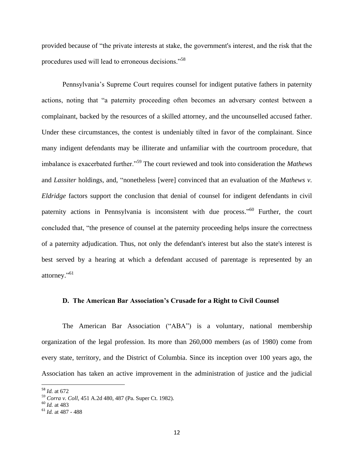provided because of "the private interests at stake, the government's interest, and the risk that the procedures used will lead to erroneous decisions."<sup>58</sup>

Pennsylvania's Supreme Court requires counsel for indigent putative fathers in paternity actions, noting that "a paternity proceeding often becomes an adversary contest between a complainant, backed by the resources of a skilled attorney, and the uncounselled accused father. Under these circumstances, the contest is undeniably tilted in favor of the complainant. Since many indigent defendants may be illiterate and unfamiliar with the courtroom procedure, that imbalance is exacerbated further."<sup>59</sup> The court reviewed and took into consideration the *Mathews*  and *Lassiter* holdings, and*,* "nonetheless [were] convinced that an evaluation of the *Mathews v. Eldridge* factors support the conclusion that denial of counsel for indigent defendants in civil paternity actions in Pennsylvania is inconsistent with due process."<sup>60</sup> Further, the court concluded that, "the presence of counsel at the paternity proceeding helps insure the correctness of a paternity adjudication. Thus, not only the defendant's interest but also the state's interest is best served by a hearing at which a defendant accused of parentage is represented by an attorney."<sup>61</sup>

### **D. The American Bar Association's Crusade for a Right to Civil Counsel**

The American Bar Association ("ABA") is a voluntary, national membership organization of the legal profession. Its more than 260,000 members (as of 1980) come from every state, territory, and the District of Columbia. Since its inception over 100 years ago, the Association has taken an active improvement in the administration of justice and the judicial

 $\overline{a}$ 

<sup>58</sup> *Id.* at 672

<sup>59</sup> *Corra v. Coll*, 451 A.2d 480, 487 (Pa. Super Ct. 1982).

<sup>60</sup> *Id.* at 483

<sup>61</sup> *Id.* at 487 - 488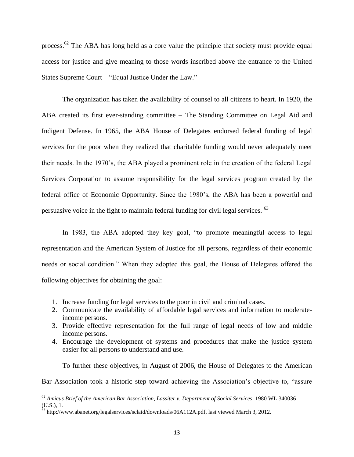process.<sup>62</sup> The ABA has long held as a core value the principle that society must provide equal access for justice and give meaning to those words inscribed above the entrance to the United States Supreme Court – "Equal Justice Under the Law."

The organization has taken the availability of counsel to all citizens to heart. In 1920, the ABA created its first ever-standing committee – The Standing Committee on Legal Aid and Indigent Defense. In 1965, the ABA House of Delegates endorsed federal funding of legal services for the poor when they realized that charitable funding would never adequately meet their needs. In the 1970's, the ABA played a prominent role in the creation of the federal Legal Services Corporation to assume responsibility for the legal services program created by the federal office of Economic Opportunity. Since the 1980's, the ABA has been a powerful and persuasive voice in the fight to maintain federal funding for civil legal services. <sup>63</sup>

In 1983, the ABA adopted they key goal, "to promote meaningful access to legal representation and the American System of Justice for all persons, regardless of their economic needs or social condition." When they adopted this goal, the House of Delegates offered the following objectives for obtaining the goal:

- 1. Increase funding for legal services to the poor in civil and criminal cases.
- 2. Communicate the availability of affordable legal services and information to moderateincome persons.
- 3. Provide effective representation for the full range of legal needs of low and middle income persons.
- 4. Encourage the development of systems and procedures that make the justice system easier for all persons to understand and use.

To further these objectives, in August of 2006, the House of Delegates to the American

Bar Association took a historic step toward achieving the Association's objective to, "assure

<sup>62</sup> *Amicus Brief of the American Bar Association*, *Lassiter v. Department of Social Services,* 1980 WL 340036 (U.S.), 1.

<sup>&</sup>lt;sup>63</sup> http://www.abanet.org/legalservices/sclaid/downloads/06A112A.pdf, last viewed March 3, 2012.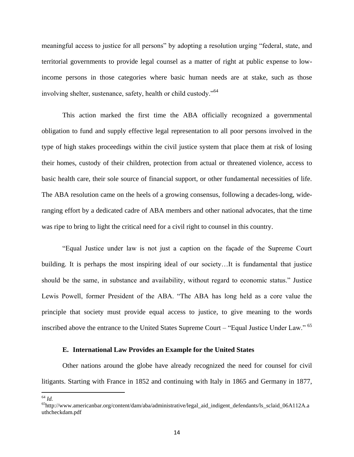meaningful access to justice for all persons" by adopting a resolution urging "federal, state, and territorial governments to provide legal counsel as a matter of right at public expense to lowincome persons in those categories where basic human needs are at stake, such as those involving shelter, sustenance, safety, health or child custody."<sup>64</sup>

This action marked the first time the ABA officially recognized a governmental obligation to fund and supply effective legal representation to all poor persons involved in the type of high stakes proceedings within the civil justice system that place them at risk of losing their homes, custody of their children, protection from actual or threatened violence, access to basic health care, their sole source of financial support, or other fundamental necessities of life. The ABA resolution came on the heels of a growing consensus, following a decades-long, wideranging effort by a dedicated cadre of ABA members and other national advocates, that the time was ripe to bring to light the critical need for a civil right to counsel in this country.

"Equal Justice under law is not just a caption on the façade of the Supreme Court building. It is perhaps the most inspiring ideal of our society…It is fundamental that justice should be the same, in substance and availability, without regard to economic status." Justice Lewis Powell, former President of the ABA. "The ABA has long held as a core value the principle that society must provide equal access to justice, to give meaning to the words inscribed above the entrance to the United States Supreme Court – "Equal Justice Under Law." <sup>65</sup>

# **E. International Law Provides an Example for the United States**

Other nations around the globe have already recognized the need for counsel for civil litigants. Starting with France in 1852 and continuing with Italy in 1865 and Germany in 1877,

 $\overline{\phantom{a}}$ <sup>64</sup> *Id.*

<sup>65</sup>http://www.americanbar.org/content/dam/aba/administrative/legal\_aid\_indigent\_defendants/ls\_sclaid\_06A112A.a uthcheckdam.pdf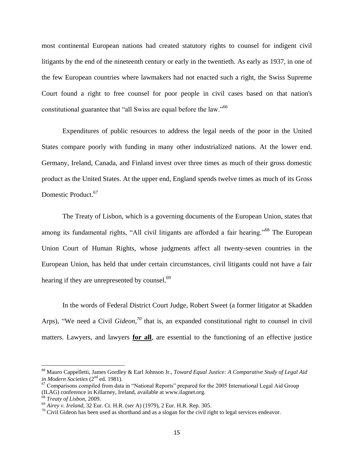most continental European nations had created statutory rights to counsel for indigent civil litigants by the end of the nineteenth century or early in the twentieth. As early as 1937, in one of the few European countries where lawmakers had not enacted such a right, the Swiss Supreme Court found a right to free counsel for poor people in civil cases based on that nation's constitutional guarantee that "all Swiss are equal before the law."<sup>66</sup>

Expenditures of public resources to address the legal needs of the poor in the United States compare poorly with funding in many other industrialized nations. At the lower end. Germany, Ireland, Canada, and Finland invest over three times as much of their gross domestic product as the United States. At the upper end, England spends twelve times as much of its Gross Domestic Product. 67

The Treaty of Lisbon, which is a governing documents of the European Union, states that among its fundamental rights, "All civil litigants are afforded a fair hearing."<sup>68</sup> The European Union Court of Human Rights, whose judgments affect all twenty-seven countries in the European Union, has held that under certain circumstances, civil litigants could not have a fair hearing if they are unrepresented by counsel.<sup>69</sup>

In the words of Federal District Court Judge, Robert Sweet (a former litigator at Skadden Arps), "We need a Civil *Gideon, <sup>70</sup>* that is, an expanded constitutional right to counsel in civil matters. Lawyers, and lawyers **for all**, are essential to the functioning of an effective justice

<sup>66</sup> Mauro Cappelletti, James Gordley & Earl Johnson Jr., *Toward Equal Justice: A Comparative Study of Legal Aid in Modern Societies* (2nd ed. 1981).

 $67$  Comparisons compiled from data in "National Reports" prepared for the 2005 International Legal Aid Group (ILAG) conference in Killarney, Ireland, available at www.ilagnet.org.

<sup>68</sup> *Treaty of Lisbon*, 2009.

<sup>69</sup> *Airey v. Ireland*, 32 Eur. Ct. H.R. (ser A) (1979), 2 Eur. H.R. Rep. 305.

 $70$  Civil Gideon has been used as shorthand and as a slogan for the civil right to legal services endeavor.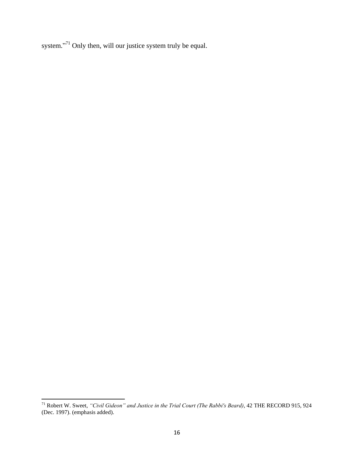system."<sup>71</sup> Only then, will our justice system truly be equal.

 $\overline{a}$ 

<sup>71</sup> Robert W. Sweet, *"Civil Gideon" and Justice in the Trial Court (The Rabbi's Beard)*, 42 THE RECORD 915, 924 (Dec. 1997). (emphasis added).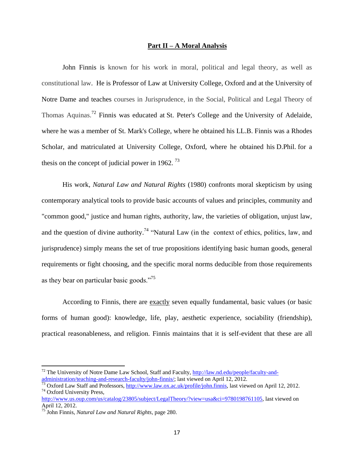### **Part II – A Moral Analysis**

John Finnis is known for his work in moral, political and legal theory, as well as constitutional law. He is Professor of Law at University College, Oxford and at the University of Notre Dame and teaches courses in Jurisprudence, in the Social, Political and Legal Theory of Thomas Aquinas.<sup>72</sup> Finnis was educated at St. Peter's College and the University of Adelaide, where he was a member of St. Mark's College, where he obtained his LL.B. Finnis was a Rhodes Scholar, and matriculated at University College, Oxford, where he obtained his D.Phil. for a thesis on the concept of judicial power in 1962.  $^{73}$ 

His work, *Natural Law and Natural Rights* (1980) confronts moral skepticism by using contemporary analytical tools to provide basic accounts of values and principles, community and "common good," justice and human rights, authority, law, the varieties of obligation, unjust law, and the question of divine authority.<sup>74</sup> "Natural Law (in the context of ethics, politics, law, and jurisprudence) simply means the set of true propositions identifying basic human goods, general requirements or fight choosing, and the specific moral norms deducible from those requirements as they bear on particular basic goods."<sup>75</sup>

According to Finnis, there are exactly seven equally fundamental, basic values (or basic forms of human good): knowledge, life, play, aesthetic experience, sociability (friendship), practical reasonableness, and religion. Finnis maintains that it is self-evident that these are all

 $^{72}$  The University of Notre Dame Law School, Staff and Faculty, [http://law.nd.edu/people/faculty-and](http://law.nd.edu/people/faculty-and-administration/teaching-and-research-faculty/john-finnis/)[administration/teaching-and-research-faculty/john-finnis/;](http://law.nd.edu/people/faculty-and-administration/teaching-and-research-faculty/john-finnis/) last viewed on April 12, 2012.

 $\frac{73}{13}$  Oxford Law Staff and Professors, [http://www.law.ox.ac.uk/profile/john.finnis,](http://www.law.ox.ac.uk/profile/john.finnis) last viewed on April 12, 2012. <sup>74</sup> Oxford University Press,

[http://www.us.oup.com/us/catalog/23805/subject/LegalTheory/?view=usa&ci=9780198761105,](http://www.us.oup.com/us/catalog/23805/subject/LegalTheory/?view=usa&ci=9780198761105) last viewed on April 12, 2012.

<sup>75</sup> John Finnis, *Natural Law and Natural Rights,* page 280.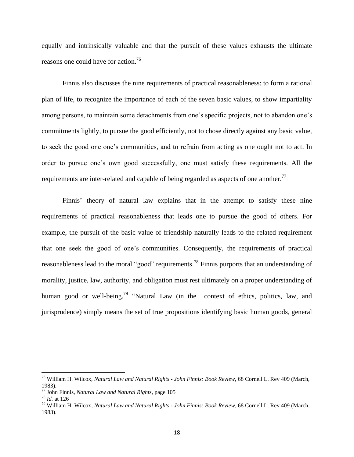equally and intrinsically valuable and that the pursuit of these values exhausts the ultimate reasons one could have for action.<sup>76</sup>

Finnis also discusses the nine requirements of practical reasonableness: to form a rational plan of life, to recognize the importance of each of the seven basic values, to show impartiality among persons, to maintain some detachments from one's specific projects, not to abandon one's commitments lightly, to pursue the good efficiently, not to chose directly against any basic value, to seek the good one one's communities, and to refrain from acting as one ought not to act. In order to pursue one's own good successfully, one must satisfy these requirements. All the requirements are inter-related and capable of being regarded as aspects of one another.<sup>77</sup>

Finnis' theory of natural law explains that in the attempt to satisfy these nine requirements of practical reasonableness that leads one to pursue the good of others. For example, the pursuit of the basic value of friendship naturally leads to the related requirement that one seek the good of one's communities. Consequently, the requirements of practical reasonableness lead to the moral "good" requirements.<sup>78</sup> Finnis purports that an understanding of morality, justice, law, authority, and obligation must rest ultimately on a proper understanding of human good or well-being.<sup>79</sup> "Natural Law (in the context of ethics, politics, law, and jurisprudence) simply means the set of true propositions identifying basic human goods, general

<sup>76</sup> William H. Wilcox, *Natural Law and Natural Rights - John Finnis: Book Review*, 68 Cornell L. Rev 409 (March, 1983).

<sup>77</sup> John Finnis, *Natural Law and Natural Rights,* page 105

<sup>78</sup> *Id.* at 126

<sup>79</sup> William H. Wilcox, *Natural Law and Natural Rights - John Finnis: Book Review*, 68 Cornell L. Rev 409 (March, 1983).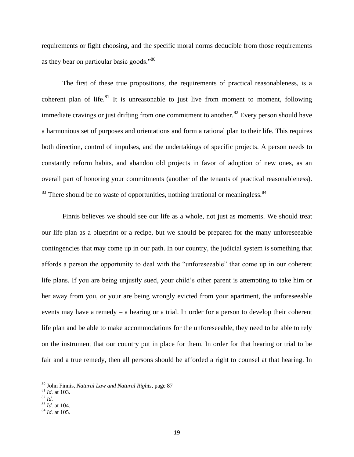requirements or fight choosing, and the specific moral norms deducible from those requirements as they bear on particular basic goods."<sup>80</sup>

The first of these true propositions, the requirements of practical reasonableness, is a coherent plan of life.<sup>81</sup> It is unreasonable to just live from moment to moment, following immediate cravings or just drifting from one commitment to another.<sup>82</sup> Every person should have a harmonious set of purposes and orientations and form a rational plan to their life. This requires both direction, control of impulses, and the undertakings of specific projects. A person needs to constantly reform habits, and abandon old projects in favor of adoption of new ones, as an overall part of honoring your commitments (another of the tenants of practical reasonableness).  $83$  There should be no waste of opportunities, nothing irrational or meaningless.  $84$ 

Finnis believes we should see our life as a whole, not just as moments. We should treat our life plan as a blueprint or a recipe, but we should be prepared for the many unforeseeable contingencies that may come up in our path. In our country, the judicial system is something that affords a person the opportunity to deal with the "unforeseeable" that come up in our coherent life plans. If you are being unjustly sued, your child's other parent is attempting to take him or her away from you, or your are being wrongly evicted from your apartment, the unforeseeable events may have a remedy – a hearing or a trial. In order for a person to develop their coherent life plan and be able to make accommodations for the unforeseeable, they need to be able to rely on the instrument that our country put in place for them. In order for that hearing or trial to be fair and a true remedy, then all persons should be afforded a right to counsel at that hearing. In

 $\overline{a}$ 

<sup>80</sup> John Finnis, *Natural Law and Natural Rights,* page 87

<sup>81</sup> *Id.* at 103.

 $rac{1}{82}$  *Id.* 

<sup>83</sup> *Id.* at 104.

<sup>84</sup> *Id.* at 105.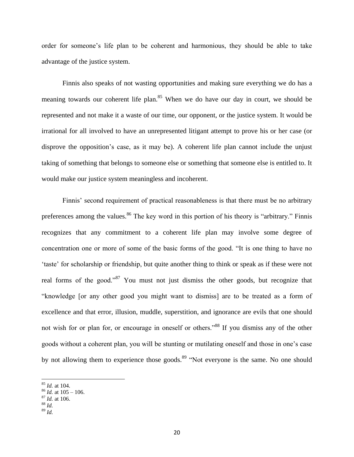order for someone's life plan to be coherent and harmonious, they should be able to take advantage of the justice system.

Finnis also speaks of not wasting opportunities and making sure everything we do has a meaning towards our coherent life plan.<sup>85</sup> When we do have our day in court, we should be represented and not make it a waste of our time, our opponent, or the justice system. It would be irrational for all involved to have an unrepresented litigant attempt to prove his or her case (or disprove the opposition's case, as it may be). A coherent life plan cannot include the unjust taking of something that belongs to someone else or something that someone else is entitled to. It would make our justice system meaningless and incoherent.

Finnis' second requirement of practical reasonableness is that there must be no arbitrary preferences among the values.<sup>86</sup> The key word in this portion of his theory is "arbitrary." Finnis recognizes that any commitment to a coherent life plan may involve some degree of concentration one or more of some of the basic forms of the good. "It is one thing to have no 'taste' for scholarship or friendship, but quite another thing to think or speak as if these were not real forms of the good."<sup>87</sup> You must not just dismiss the other goods, but recognize that "knowledge [or any other good you might want to dismiss] are to be treated as a form of excellence and that error, illusion, muddle, superstition, and ignorance are evils that one should not wish for or plan for, or encourage in oneself or others."<sup>88</sup> If you dismiss any of the other goods without a coherent plan, you will be stunting or mutilating oneself and those in one's case by not allowing them to experience those goods.<sup>89</sup> "Not everyone is the same. No one should

<sup>88</sup> *Id.*

 $\overline{a}$ 

<sup>85</sup> *Id.* at 104.

<sup>86</sup> *Id.* at 105 – 106.

 $^{87}$  *Id.* at 106.

<sup>89</sup> *Id.*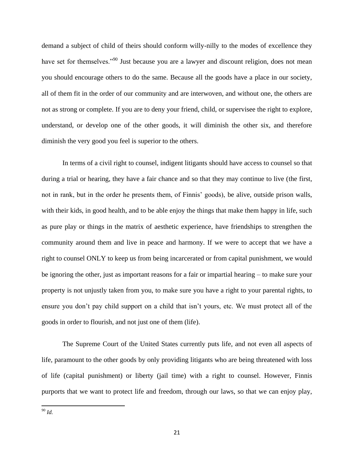demand a subject of child of theirs should conform willy-nilly to the modes of excellence they have set for themselves."<sup>90</sup> Just because you are a lawyer and discount religion, does not mean you should encourage others to do the same. Because all the goods have a place in our society, all of them fit in the order of our community and are interwoven, and without one, the others are not as strong or complete. If you are to deny your friend, child, or supervisee the right to explore, understand, or develop one of the other goods, it will diminish the other six, and therefore diminish the very good you feel is superior to the others.

In terms of a civil right to counsel, indigent litigants should have access to counsel so that during a trial or hearing, they have a fair chance and so that they may continue to live (the first, not in rank, but in the order he presents them, of Finnis' goods), be alive, outside prison walls, with their kids, in good health, and to be able enjoy the things that make them happy in life, such as pure play or things in the matrix of aesthetic experience, have friendships to strengthen the community around them and live in peace and harmony. If we were to accept that we have a right to counsel ONLY to keep us from being incarcerated or from capital punishment, we would be ignoring the other, just as important reasons for a fair or impartial hearing – to make sure your property is not unjustly taken from you, to make sure you have a right to your parental rights, to ensure you don't pay child support on a child that isn't yours, etc. We must protect all of the goods in order to flourish, and not just one of them (life).

The Supreme Court of the United States currently puts life, and not even all aspects of life, paramount to the other goods by only providing litigants who are being threatened with loss of life (capital punishment) or liberty (jail time) with a right to counsel. However, Finnis purports that we want to protect life and freedom, through our laws, so that we can enjoy play,

 $\overline{\phantom{a}}$ <sup>90</sup> *Id.*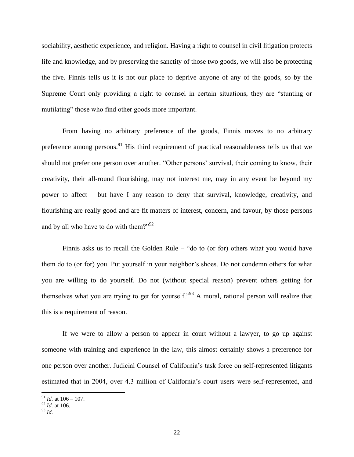sociability, aesthetic experience, and religion. Having a right to counsel in civil litigation protects life and knowledge, and by preserving the sanctity of those two goods, we will also be protecting the five. Finnis tells us it is not our place to deprive anyone of any of the goods, so by the Supreme Court only providing a right to counsel in certain situations, they are "stunting or mutilating" those who find other goods more important.

From having no arbitrary preference of the goods, Finnis moves to no arbitrary preference among persons.<sup>91</sup> His third requirement of practical reasonableness tells us that we should not prefer one person over another. "Other persons' survival, their coming to know, their creativity, their all-round flourishing, may not interest me, may in any event be beyond my power to affect – but have I any reason to deny that survival, knowledge, creativity, and flourishing are really good and are fit matters of interest, concern, and favour, by those persons and by all who have to do with them?"<sup>92</sup>

Finnis asks us to recall the Golden Rule – "do to (or for) others what you would have them do to (or for) you. Put yourself in your neighbor's shoes. Do not condemn others for what you are willing to do yourself. Do not (without special reason) prevent others getting for themselves what you are trying to get for yourself."<sup>93</sup> A moral, rational person will realize that this is a requirement of reason.

If we were to allow a person to appear in court without a lawyer, to go up against someone with training and experience in the law, this almost certainly shows a preference for one person over another. Judicial Counsel of California's task force on self-represented litigants estimated that in 2004, over 4.3 million of California's court users were self-represented, and

<sup>91</sup> *Id.* at 106 – 107.

<sup>92</sup> *Id.* at 106.

<sup>93</sup> *Id.*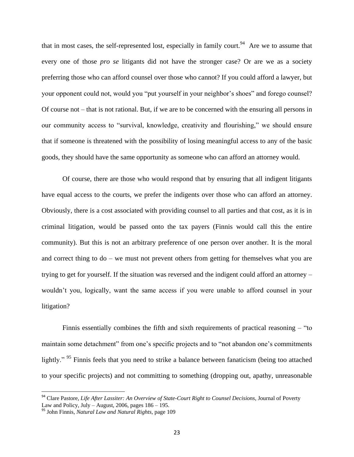that in most cases, the self-represented lost, especially in family court.<sup>94</sup> Are we to assume that every one of those *pro se* litigants did not have the stronger case? Or are we as a society preferring those who can afford counsel over those who cannot? If you could afford a lawyer, but your opponent could not, would you "put yourself in your neighbor's shoes" and forego counsel? Of course not – that is not rational. But, if we are to be concerned with the ensuring all persons in our community access to "survival, knowledge, creativity and flourishing," we should ensure that if someone is threatened with the possibility of losing meaningful access to any of the basic goods, they should have the same opportunity as someone who can afford an attorney would.

Of course, there are those who would respond that by ensuring that all indigent litigants have equal access to the courts, we prefer the indigents over those who can afford an attorney. Obviously, there is a cost associated with providing counsel to all parties and that cost, as it is in criminal litigation, would be passed onto the tax payers (Finnis would call this the entire community). But this is not an arbitrary preference of one person over another. It is the moral and correct thing to do – we must not prevent others from getting for themselves what you are trying to get for yourself. If the situation was reversed and the indigent could afford an attorney – wouldn't you, logically, want the same access if you were unable to afford counsel in your litigation?

Finnis essentially combines the fifth and sixth requirements of practical reasoning – "to maintain some detachment" from one's specific projects and to "not abandon one's commitments lightly." <sup>95</sup> Finnis feels that you need to strike a balance between fanaticism (being too attached to your specific projects) and not committing to something (dropping out, apathy, unreasonable

<sup>94</sup> Clare Pastore, *Life After Lassiter: An Overview of State-Court Right to Counsel Decisions*, Journal of Poverty Law and Policy, July – August,  $2006$ , pages  $186 - 195$ .

<sup>95</sup> John Finnis, *Natural Law and Natural Rights,* page 109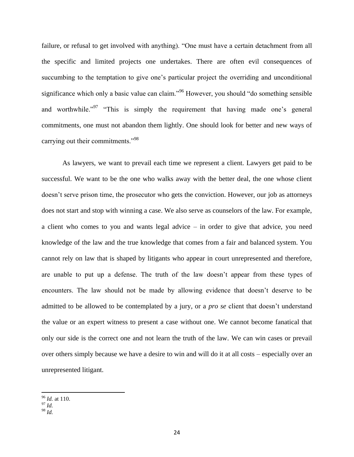failure, or refusal to get involved with anything). "One must have a certain detachment from all the specific and limited projects one undertakes. There are often evil consequences of succumbing to the temptation to give one's particular project the overriding and unconditional significance which only a basic value can claim."<sup>96</sup> However, you should "do something sensible and worthwhile.<sup>"97</sup> "This is simply the requirement that having made one's general commitments, one must not abandon them lightly. One should look for better and new ways of carrying out their commitments."<sup>98</sup>

As lawyers, we want to prevail each time we represent a client. Lawyers get paid to be successful. We want to be the one who walks away with the better deal, the one whose client doesn't serve prison time, the prosecutor who gets the conviction. However, our job as attorneys does not start and stop with winning a case. We also serve as counselors of the law. For example, a client who comes to you and wants legal advice – in order to give that advice, you need knowledge of the law and the true knowledge that comes from a fair and balanced system. You cannot rely on law that is shaped by litigants who appear in court unrepresented and therefore, are unable to put up a defense. The truth of the law doesn't appear from these types of encounters. The law should not be made by allowing evidence that doesn't deserve to be admitted to be allowed to be contemplated by a jury, or a *pro se* client that doesn't understand the value or an expert witness to present a case without one. We cannot become fanatical that only our side is the correct one and not learn the truth of the law. We can win cases or prevail over others simply because we have a desire to win and will do it at all costs – especially over an unrepresented litigant.

 $\overline{\phantom{a}}$ <sup>96</sup> *Id.* at 110.

<sup>97</sup> *Id.*

<sup>98</sup> *Id.*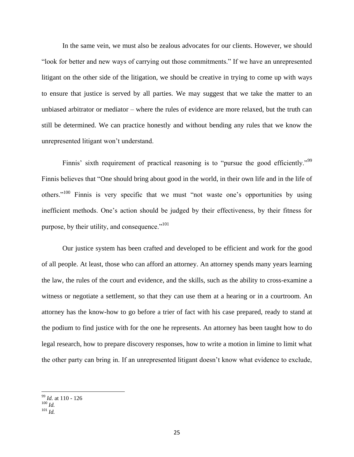In the same vein, we must also be zealous advocates for our clients. However, we should "look for better and new ways of carrying out those commitments." If we have an unrepresented litigant on the other side of the litigation, we should be creative in trying to come up with ways to ensure that justice is served by all parties. We may suggest that we take the matter to an unbiased arbitrator or mediator – where the rules of evidence are more relaxed, but the truth can still be determined. We can practice honestly and without bending any rules that we know the unrepresented litigant won't understand.

Finnis' sixth requirement of practical reasoning is to "pursue the good efficiently."<sup>99</sup> Finnis believes that "One should bring about good in the world, in their own life and in the life of others."<sup>100</sup> Finnis is very specific that we must "not waste one's opportunities by using inefficient methods. One's action should be judged by their effectiveness, by their fitness for purpose, by their utility, and consequence." $101$ 

Our justice system has been crafted and developed to be efficient and work for the good of all people. At least, those who can afford an attorney. An attorney spends many years learning the law, the rules of the court and evidence, and the skills, such as the ability to cross-examine a witness or negotiate a settlement, so that they can use them at a hearing or in a courtroom. An attorney has the know-how to go before a trier of fact with his case prepared, ready to stand at the podium to find justice with for the one he represents. An attorney has been taught how to do legal research, how to prepare discovery responses, how to write a motion in limine to limit what the other party can bring in. If an unrepresented litigant doesn't know what evidence to exclude,

<sup>99</sup> *Id.* at 110 - 126

 $100$   $H$ <sub>d</sub>.

<sup>101</sup> *Id.*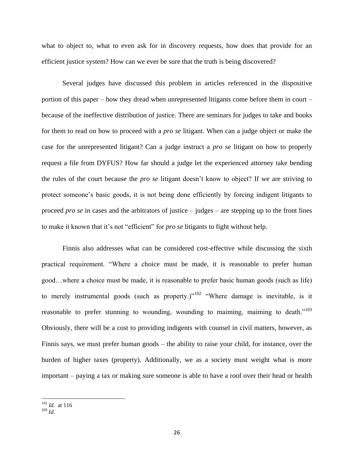what to object to, what to even ask for in discovery requests, how does that provide for an efficient justice system? How can we ever be sure that the truth is being discovered?

Several judges have discussed this problem in articles referenced in the dispositive portion of this paper – how they dread when unrepresented litigants come before them in court – because of the ineffective distribution of justice. There are seminars for judges to take and books for them to read on how to proceed with a *pro se* litigant. When can a judge object or make the case for the unrepresented litigant? Can a judge instruct a *pro* se litigant on how to properly request a file from DYFUS? How far should a judge let the experienced attorney take bending the rules of the court because the *pro se* litigant doesn't know to object? If we are striving to protect someone's basic goods, it is not being done efficiently by forcing indigent litigants to proceed *pro se* in cases and the arbitrators of justice – judges – are stepping up to the front lines to make it known that it's not "efficient" for *pro se* litigants to fight without help.

Finnis also addresses what can be considered cost-effective while discussing the sixth practical requirement. "Where a choice must be made, it is reasonable to prefer human good…where a choice must be made, it is reasonable to prefer basic human goods (such as life) to merely instrumental goods (such as property.)"<sup>102</sup> "Where damage is inevitable, is it reasonable to prefer stunning to wounding, wounding to maiming, maiming to death."<sup>103</sup> Obviously, there will be a cost to providing indigents with counsel in civil matters, however, as Finnis says, we must prefer human goods – the ability to raise your child, for instance, over the burden of higher taxes (property). Additionally, we as a society must weight what is more important – paying a tax or making sure someone is able to have a roof over their head or health

l

<sup>102</sup> *Id.* at 116

<sup>103</sup> *Id.*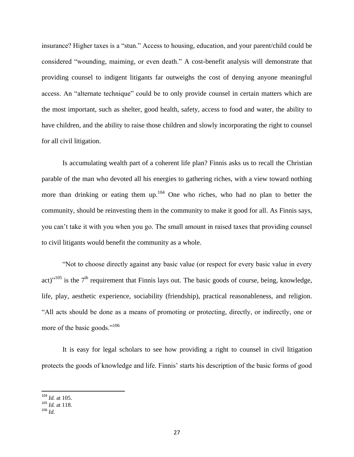insurance? Higher taxes is a "stun." Access to housing, education, and your parent/child could be considered "wounding, maiming, or even death." A cost-benefit analysis will demonstrate that providing counsel to indigent litigants far outweighs the cost of denying anyone meaningful access. An "alternate technique" could be to only provide counsel in certain matters which are the most important, such as shelter, good health, safety, access to food and water, the ability to have children, and the ability to raise those children and slowly incorporating the right to counsel for all civil litigation.

Is accumulating wealth part of a coherent life plan? Finnis asks us to recall the Christian parable of the man who devoted all his energies to gathering riches, with a view toward nothing more than drinking or eating them  $up^{104}$ . One who riches, who had no plan to better the community, should be reinvesting them in the community to make it good for all. As Finnis says, you can't take it with you when you go. The small amount in raised taxes that providing counsel to civil litigants would benefit the community as a whole.

"Not to choose directly against any basic value (or respect for every basic value in every act)<sup> $105$ </sup> is the  $7<sup>th</sup>$  requirement that Finnis lays out. The basic goods of course, being, knowledge, life, play, aesthetic experience, sociability (friendship), practical reasonableness, and religion. "All acts should be done as a means of promoting or protecting, directly, or indirectly, one or more of the basic goods."<sup>106</sup>

It is easy for legal scholars to see how providing a right to counsel in civil litigation protects the goods of knowledge and life. Finnis' starts his description of the basic forms of good

<sup>104</sup> *Id.* at 105.

<sup>105</sup> *Id.* at 118.

<sup>106</sup> *Id.*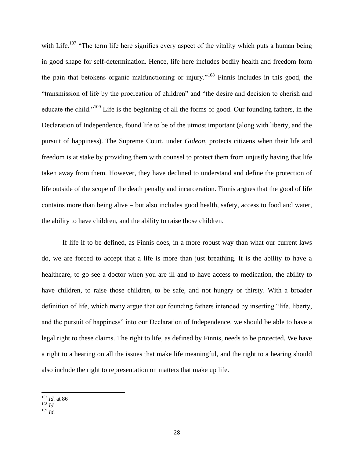with Life.<sup>107</sup> "The term life here signifies every aspect of the vitality which puts a human being in good shape for self-determination. Hence, life here includes bodily health and freedom form the pain that betokens organic malfunctioning or injury."<sup>108</sup> Finnis includes in this good, the "transmission of life by the procreation of children" and "the desire and decision to cherish and educate the child."<sup>109</sup> Life is the beginning of all the forms of good. Our founding fathers, in the Declaration of Independence, found life to be of the utmost important (along with liberty, and the pursuit of happiness). The Supreme Court, under *Gideon*, protects citizens when their life and freedom is at stake by providing them with counsel to protect them from unjustly having that life taken away from them. However, they have declined to understand and define the protection of life outside of the scope of the death penalty and incarceration. Finnis argues that the good of life contains more than being alive – but also includes good health, safety, access to food and water, the ability to have children, and the ability to raise those children.

If life if to be defined, as Finnis does, in a more robust way than what our current laws do, we are forced to accept that a life is more than just breathing. It is the ability to have a healthcare, to go see a doctor when you are ill and to have access to medication, the ability to have children, to raise those children, to be safe, and not hungry or thirsty. With a broader definition of life, which many argue that our founding fathers intended by inserting "life, liberty, and the pursuit of happiness" into our Declaration of Independence, we should be able to have a legal right to these claims. The right to life, as defined by Finnis, needs to be protected. We have a right to a hearing on all the issues that make life meaningful, and the right to a hearing should also include the right to representation on matters that make up life.

 $\overline{\phantom{a}}$ <sup>107</sup> *Id.* at 86

<sup>108</sup> *Id.*

 $109$   $\bar{I}$   $\bar{d}$  .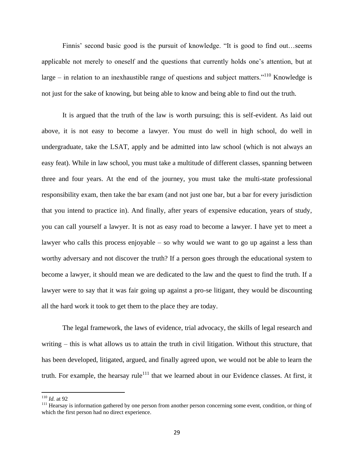Finnis' second basic good is the pursuit of knowledge. "It is good to find out…seems applicable not merely to oneself and the questions that currently holds one's attention, but at large – in relation to an inexhaustible range of questions and subject matters.<sup> $110$ </sup> Knowledge is not just for the sake of knowing, but being able to know and being able to find out the truth.

It is argued that the truth of the law is worth pursuing; this is self-evident. As laid out above, it is not easy to become a lawyer. You must do well in high school, do well in undergraduate, take the LSAT, apply and be admitted into law school (which is not always an easy feat). While in law school, you must take a multitude of different classes, spanning between three and four years. At the end of the journey, you must take the multi-state professional responsibility exam, then take the bar exam (and not just one bar, but a bar for every jurisdiction that you intend to practice in). And finally, after years of expensive education, years of study, you can call yourself a lawyer. It is not as easy road to become a lawyer. I have yet to meet a lawyer who calls this process enjoyable – so why would we want to go up against a less than worthy adversary and not discover the truth? If a person goes through the educational system to become a lawyer, it should mean we are dedicated to the law and the quest to find the truth. If a lawyer were to say that it was fair going up against a pro-se litigant, they would be discounting all the hard work it took to get them to the place they are today.

The legal framework, the laws of evidence, trial advocacy, the skills of legal research and writing – this is what allows us to attain the truth in civil litigation. Without this structure, that has been developed, litigated, argued, and finally agreed upon, we would not be able to learn the truth. For example, the hearsay rule<sup>111</sup> that we learned about in our Evidence classes. At first, it

<sup>110</sup> *Id.* at 92

<sup>&</sup>lt;sup>111</sup> Hearsay is information gathered by one person from another person concerning some event, condition, or thing of which the first person had no direct experience.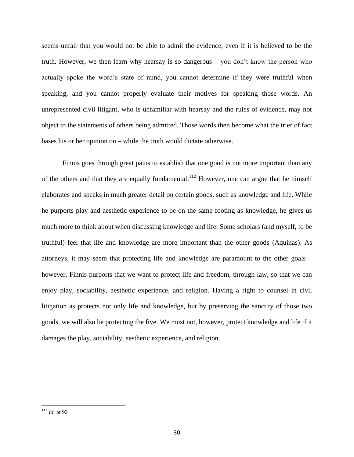seems unfair that you would not be able to admit the evidence, even if it is believed to be the truth. However, we then learn why hearsay is so dangerous – you don't know the person who actually spoke the word's state of mind, you cannot determine if they were truthful when speaking, and you cannot properly evaluate their motives for speaking those words. An unrepresented civil litigant, who is unfamiliar with hearsay and the rules of evidence, may not object to the statements of others being admitted. Those words then become what the trier of fact bases his or her opinion on – while the truth would dictate otherwise.

Finnis goes through great pains to establish that one good is not more important than any of the others and that they are equally fundamental.<sup>112</sup> However, one can argue that he himself elaborates and speaks in much greater detail on certain goods, such as knowledge and life. While he purports play and aesthetic experience to be on the same footing as knowledge, he gives us much more to think about when discussing knowledge and life. Some scholars (and myself, to be truthful) feel that life and knowledge are more important than the other goods (Aquinas). As attorneys, it may seem that protecting life and knowledge are paramount to the other goals – however, Finnis purports that we want to protect life and freedom, through law, so that we can enjoy play, sociability, aesthetic experience, and religion. Having a right to counsel in civil litigation as protects not only life and knowledge, but by preserving the sanctity of those two goods, we will also be protecting the five. We must not, however, protect knowledge and life if it damages the play, sociability, aesthetic experience, and religion.

<sup>112</sup> *Id.* at 92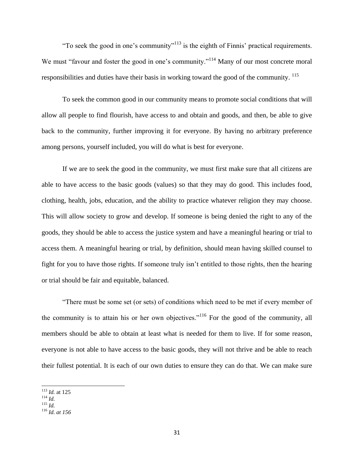"To seek the good in one's community"<sup>113</sup> is the eighth of Finnis' practical requirements. We must "favour and foster the good in one's community."<sup>114</sup> Many of our most concrete moral responsibilities and duties have their basis in working toward the good of the community. <sup>115</sup>

To seek the common good in our community means to promote social conditions that will allow all people to find flourish, have access to and obtain and goods, and then, be able to give back to the community, further improving it for everyone. By having no arbitrary preference among persons, yourself included, you will do what is best for everyone.

If we are to seek the good in the community, we must first make sure that all citizens are able to have access to the basic goods (values) so that they may do good. This includes food, clothing, health, jobs, education, and the ability to practice whatever religion they may choose. This will allow society to grow and develop. If someone is being denied the right to any of the goods, they should be able to access the justice system and have a meaningful hearing or trial to access them. A meaningful hearing or trial, by definition, should mean having skilled counsel to fight for you to have those rights. If someone truly isn't entitled to those rights, then the hearing or trial should be fair and equitable, balanced.

"There must be some set (or sets) of conditions which need to be met if every member of the community is to attain his or her own objectives.<sup> $116$ </sup> For the good of the community, all members should be able to obtain at least what is needed for them to live. If for some reason, everyone is not able to have access to the basic goods, they will not thrive and be able to reach their fullest potential. It is each of our own duties to ensure they can do that. We can make sure

<sup>113</sup> *Id.* at 125

<sup>114</sup> *Id.* 

 $^{115}$  *Id.* 

<sup>116</sup> *Id. at 156*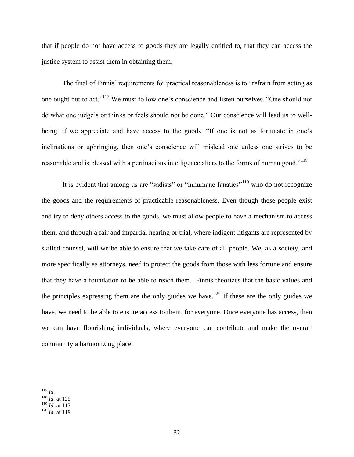that if people do not have access to goods they are legally entitled to, that they can access the justice system to assist them in obtaining them.

The final of Finnis' requirements for practical reasonableness is to "refrain from acting as one ought not to act."<sup>117</sup> We must follow one's conscience and listen ourselves. "One should not do what one judge's or thinks or feels should not be done." Our conscience will lead us to wellbeing, if we appreciate and have access to the goods. "If one is not as fortunate in one's inclinations or upbringing, then one's conscience will mislead one unless one strives to be reasonable and is blessed with a pertinacious intelligence alters to the forms of human good."<sup>118</sup>

It is evident that among us are "sadists" or "inhumane fanatics"<sup>119</sup> who do not recognize the goods and the requirements of practicable reasonableness. Even though these people exist and try to deny others access to the goods, we must allow people to have a mechanism to access them, and through a fair and impartial hearing or trial, where indigent litigants are represented by skilled counsel, will we be able to ensure that we take care of all people. We, as a society, and more specifically as attorneys, need to protect the goods from those with less fortune and ensure that they have a foundation to be able to reach them. Finnis theorizes that the basic values and the principles expressing them are the only guides we have.<sup>120</sup> If these are the only guides we have, we need to be able to ensure access to them, for everyone. Once everyone has access, then we can have flourishing individuals, where everyone can contribute and make the overall community a harmonizing place.

 $\overline{\phantom{a}}$ <sup>117</sup> *Id.* 

<sup>118</sup> *Id.* at 125

<sup>119</sup> *Id.* at 113

<sup>120</sup> *Id.* at 119